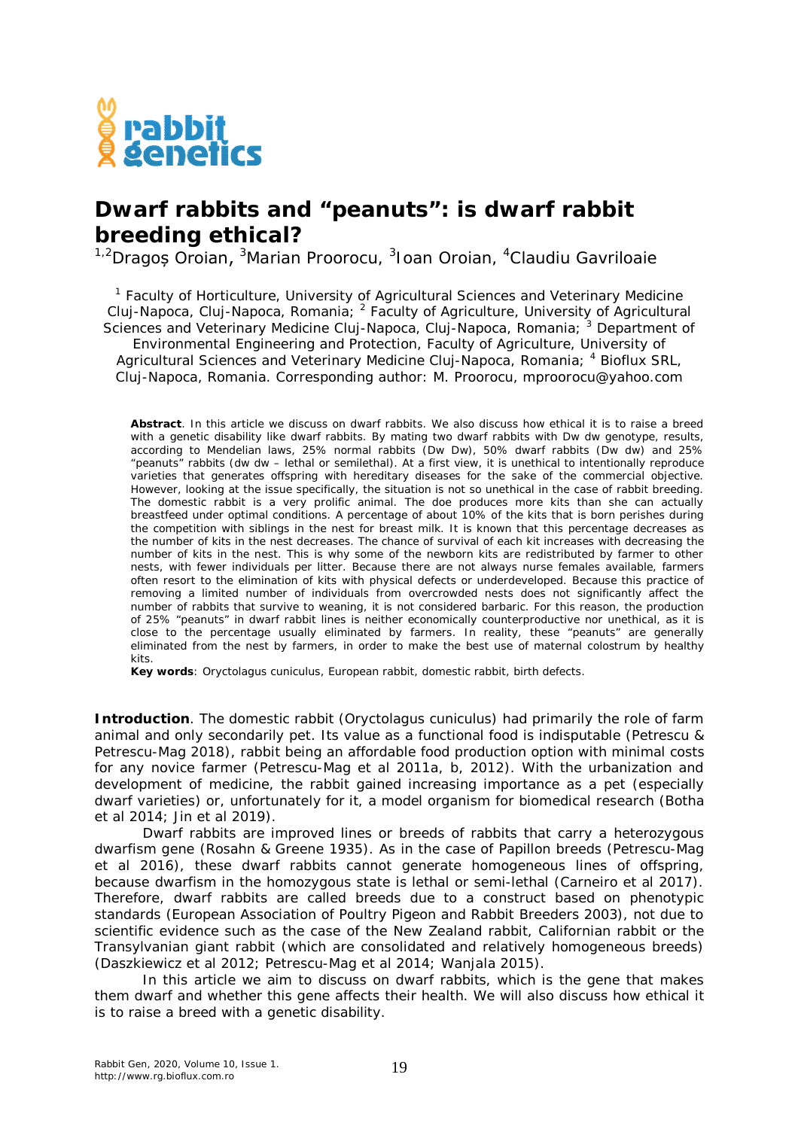

## **Dwarf rabbits and "peanuts": is dwarf rabbit breeding ethical?**

<sup>1,2</sup>Dragoș Oroian, <sup>3</sup>Marian Proorocu, <sup>3</sup>Ioan Oroian, <sup>4</sup>Claudiu Gavriloaie

<sup>1</sup> Faculty of Horticulture, University of Agricultural Sciences and Veterinary Medicine Cluj-Napoca, Cluj-Napoca, Romania; <sup>2</sup> Faculty of Agriculture, University of Agricultural Sciences and Veterinary Medicine Cluj-Napoca, Cluj-Napoca, Romania; 3 Department of Environmental Engineering and Protection, Faculty of Agriculture, University of Agricultural Sciences and Veterinary Medicine Cluj-Napoca, Romania; <sup>4</sup> Bioflux SRL, Cluj-Napoca, Romania. Corresponding author: M. Proorocu, mproorocu@yahoo.com

**Abstract**. In this article we discuss on dwarf rabbits. We also discuss how ethical it is to raise a breed with a genetic disability like dwarf rabbits. By mating two dwarf rabbits with Dw dw genotype, results, according to Mendelian laws, 25% normal rabbits (Dw Dw), 50% dwarf rabbits (Dw dw) and 25% "peanuts" rabbits (dw dw – lethal or semilethal). At a first view, it is unethical to intentionally reproduce varieties that generates offspring with hereditary diseases for the sake of the commercial objective. However, looking at the issue specifically, the situation is not so unethical in the case of rabbit breeding. The domestic rabbit is a very prolific animal. The doe produces more kits than she can actually breastfeed under optimal conditions. A percentage of about 10% of the kits that is born perishes during the competition with siblings in the nest for breast milk. It is known that this percentage decreases as the number of kits in the nest decreases. The chance of survival of each kit increases with decreasing the number of kits in the nest. This is why some of the newborn kits are redistributed by farmer to other nests, with fewer individuals per litter. Because there are not always nurse females available, farmers often resort to the elimination of kits with physical defects or underdeveloped. Because this practice of removing a limited number of individuals from overcrowded nests does not significantly affect the number of rabbits that survive to weaning, it is not considered barbaric. For this reason, the production of 25% "peanuts" in dwarf rabbit lines is neither economically counterproductive nor unethical, as it is close to the percentage usually eliminated by farmers. In reality, these "peanuts" are generally eliminated from the nest by farmers, in order to make the best use of maternal colostrum by healthy kits.

**Key words**: *Oryctolagus cuniculus*, European rabbit, domestic rabbit, birth defects.

**Introduction**. The domestic rabbit (*Oryctolagus cuniculus*) had primarily the role of farm animal and only secondarily pet. Its value as a functional food is indisputable (Petrescu & Petrescu-Mag 2018), rabbit being an affordable food production option with minimal costs for any novice farmer (Petrescu-Mag et al 2011a, b, 2012). With the urbanization and development of medicine, the rabbit gained increasing importance as a pet (especially dwarf varieties) or, unfortunately for it, a model organism for biomedical research (Botha et al 2014; Jin et al 2019).

Dwarf rabbits are improved lines or breeds of rabbits that carry a heterozygous dwarfism gene (Rosahn & Greene 1935). As in the case of Papillon breeds (Petrescu-Mag et al 2016), these dwarf rabbits cannot generate homogeneous lines of offspring, because dwarfism in the homozygous state is lethal or semi-lethal (Carneiro et al 2017). Therefore, dwarf rabbits are called breeds due to a construct based on phenotypic standards (European Association of Poultry Pigeon and Rabbit Breeders 2003), not due to scientific evidence such as the case of the New Zealand rabbit, Californian rabbit or the Transylvanian giant rabbit (which are consolidated and relatively homogeneous breeds) (Daszkiewicz et al 2012; Petrescu-Mag et al 2014; Wanjala 2015).

In this article we aim to discuss on dwarf rabbits, which is the gene that makes them dwarf and whether this gene affects their health. We will also discuss how ethical it is to raise a breed with a genetic disability.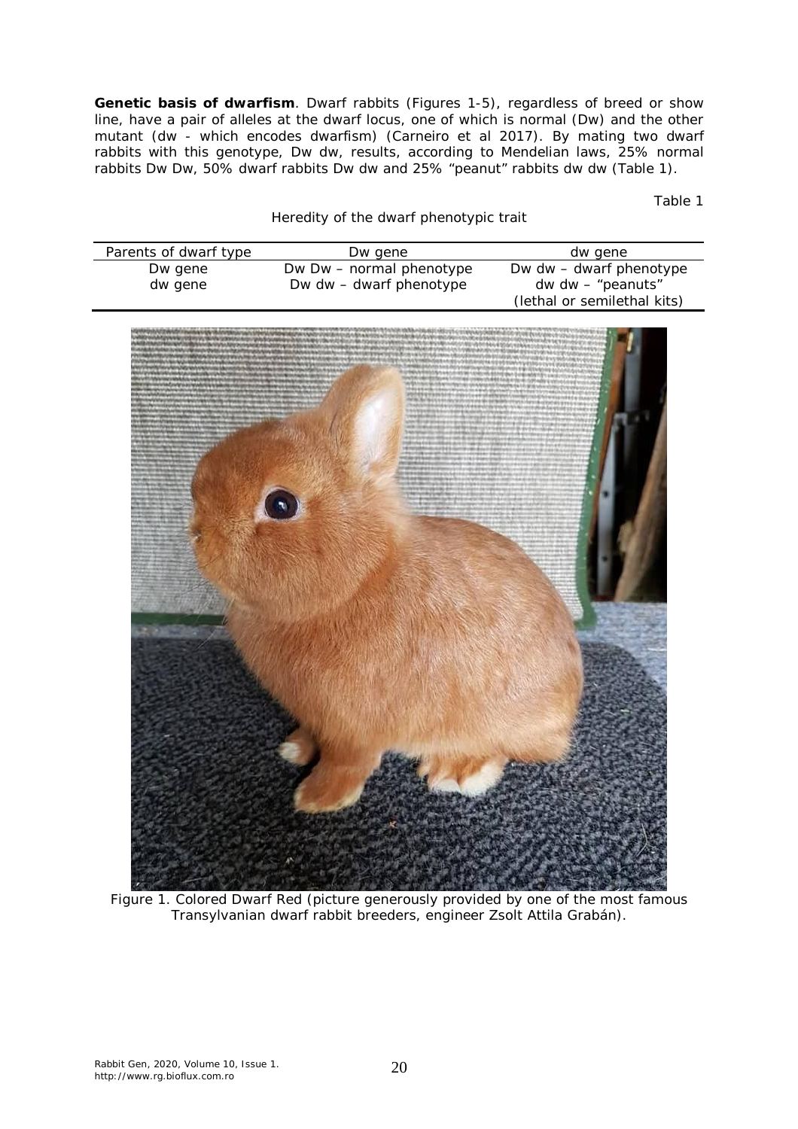**Genetic basis of dwarfism**. Dwarf rabbits (Figures 1-5), regardless of breed or show line, have a pair of alleles at the dwarf locus, one of which is normal (Dw) and the other mutant (dw - which encodes dwarfism) (Carneiro et al 2017). By mating two dwarf rabbits with this genotype, Dw dw, results, according to Mendelian laws, 25% normal rabbits Dw Dw, 50% dwarf rabbits Dw dw and 25% "peanut" rabbits dw dw (Table 1).

Table 1

Heredity of the dwarf phenotypic trait

| Parents of dwarf type | Dw gene                   | dw gene                     |
|-----------------------|---------------------------|-----------------------------|
| Dw gene               | Dw Dw – normal phenotype  | Dw $dw - d$ warf phenotype  |
| dw gene               | Dw $dw$ – dwarf phenotype | $dw dw - "peanus"$          |
|                       |                           | (lethal or semilethal kits) |



Figure 1. Colored Dwarf Red (picture generously provided by one of the most famous Transylvanian dwarf rabbit breeders, engineer Zsolt Attila Grabán).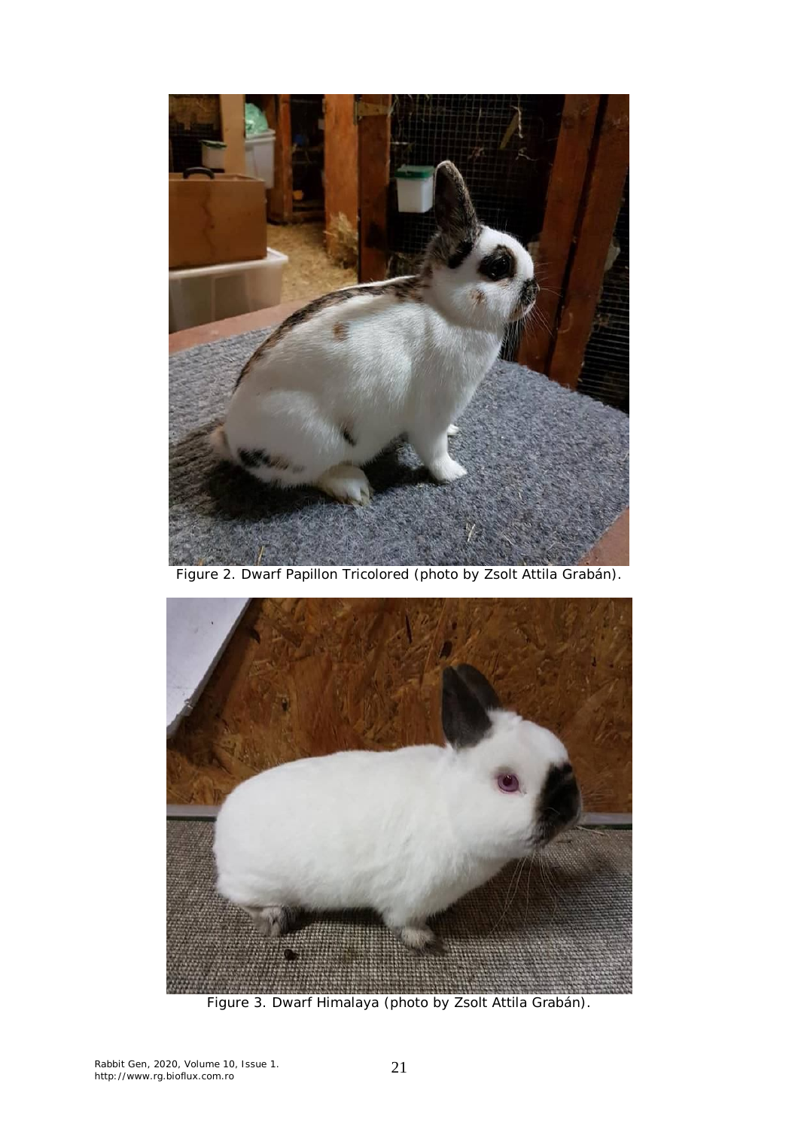

Figure 2. Dwarf Papillon Tricolored (photo by Zsolt Attila Grabán).



Figure 3. Dwarf Himalaya (photo by Zsolt Attila Grabán).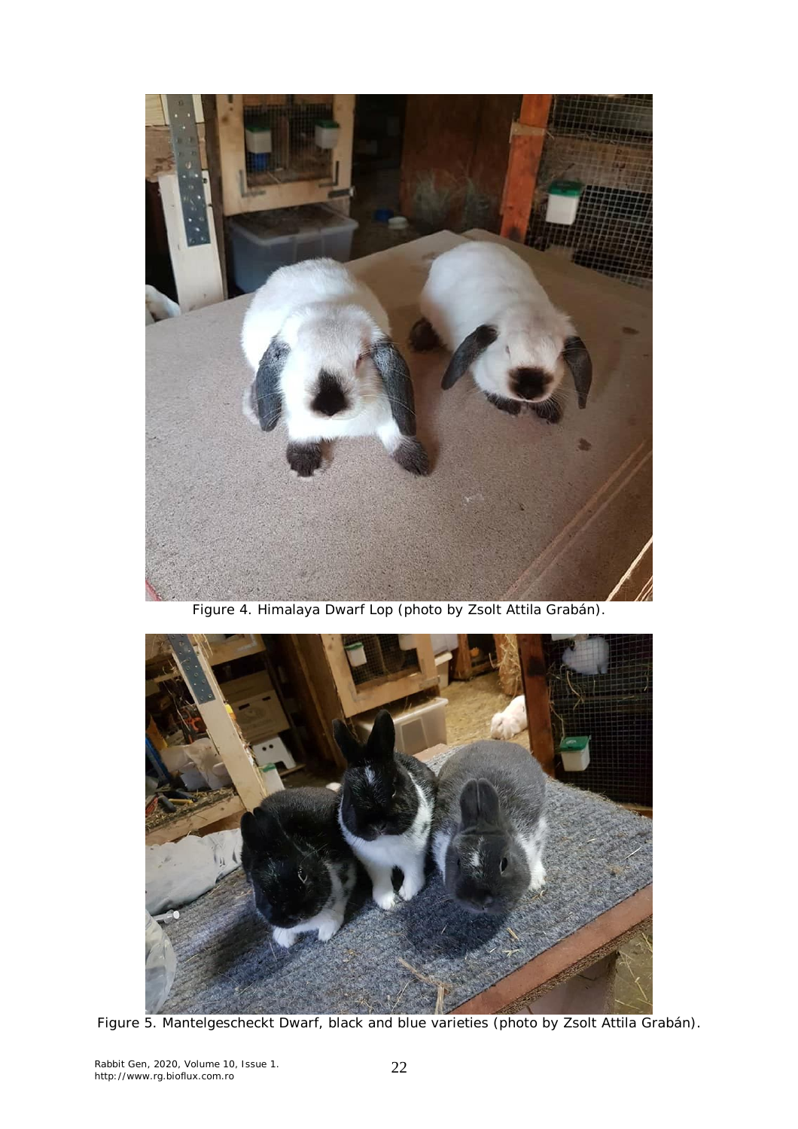

Figure 4. Himalaya Dwarf Lop (photo by Zsolt Attila Grabán).



Figure 5. Mantelgescheckt Dwarf, black and blue varieties (photo by Zsolt Attila Grabán).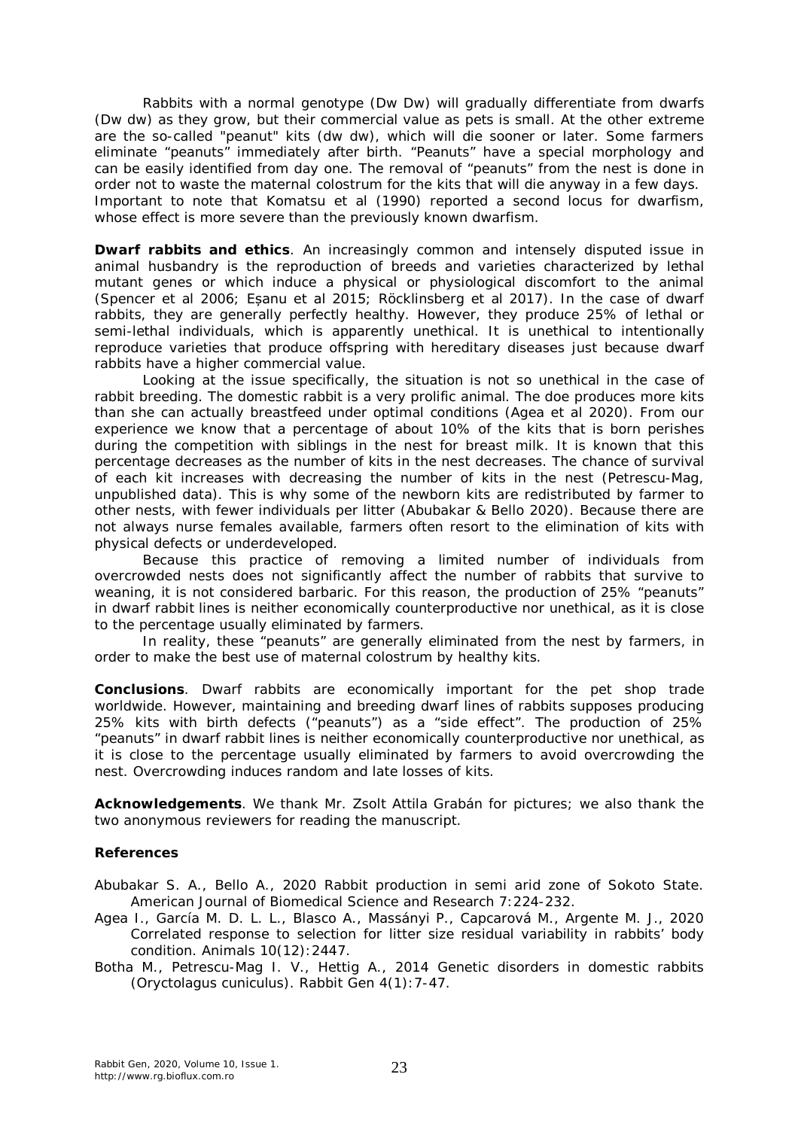Rabbits with a normal genotype (Dw Dw) will gradually differentiate from dwarfs (Dw dw) as they grow, but their commercial value as pets is small. At the other extreme are the so-called "peanut" kits (dw dw), which will die sooner or later. Some farmers eliminate "peanuts" immediately after birth. "Peanuts" have a special morphology and can be easily identified from day one. The removal of "peanuts" from the nest is done in order not to waste the maternal colostrum for the kits that will die anyway in a few days. Important to note that Komatsu et al (1990) reported a second locus for dwarfism, whose effect is more severe than the previously known dwarfism.

**Dwarf rabbits and ethics**. An increasingly common and intensely disputed issue in animal husbandry is the reproduction of breeds and varieties characterized by lethal mutant genes or which induce a physical or physiological discomfort to the animal (Spencer et al 2006; Eșanu et al 2015; Röcklinsberg et al 2017). In the case of dwarf rabbits, they are generally perfectly healthy. However, they produce 25% of lethal or semi-lethal individuals, which is apparently unethical. It is unethical to intentionally reproduce varieties that produce offspring with hereditary diseases just because dwarf rabbits have a higher commercial value.

Looking at the issue specifically, the situation is not so unethical in the case of rabbit breeding. The domestic rabbit is a very prolific animal. The doe produces more kits than she can actually breastfeed under optimal conditions (Agea et al 2020). From our experience we know that a percentage of about 10% of the kits that is born perishes during the competition with siblings in the nest for breast milk. It is known that this percentage decreases as the number of kits in the nest decreases. The chance of survival of each kit increases with decreasing the number of kits in the nest (Petrescu-Mag, unpublished data). This is why some of the newborn kits are redistributed by farmer to other nests, with fewer individuals per litter (Abubakar & Bello 2020). Because there are not always nurse females available, farmers often resort to the elimination of kits with physical defects or underdeveloped.

Because this practice of removing a limited number of individuals from overcrowded nests does not significantly affect the number of rabbits that survive to weaning, it is not considered barbaric. For this reason, the production of 25% "peanuts" in dwarf rabbit lines is neither economically counterproductive nor unethical, as it is close to the percentage usually eliminated by farmers.

In reality, these "peanuts" are generally eliminated from the nest by farmers, in order to make the best use of maternal colostrum by healthy kits.

**Conclusions**. Dwarf rabbits are economically important for the pet shop trade worldwide. However, maintaining and breeding dwarf lines of rabbits supposes producing 25% kits with birth defects ("peanuts") as a "side effect". The production of 25% "peanuts" in dwarf rabbit lines is neither economically counterproductive nor unethical, as it is close to the percentage usually eliminated by farmers to avoid overcrowding the nest. Overcrowding induces random and late losses of kits.

**Acknowledgements**. We thank Mr. Zsolt Attila Grabán for pictures; we also thank the two anonymous reviewers for reading the manuscript.

## **References**

Abubakar S. A., Bello A., 2020 Rabbit production in semi arid zone of Sokoto State. American Journal of Biomedical Science and Research 7:224-232.

- Agea I., García M. D. L. L., Blasco A., Massányi P., Capcarová M., Argente M. J., 2020 Correlated response to selection for litter size residual variability in rabbits' body condition. Animals 10(12):2447.
- Botha M., Petrescu-Mag I. V., Hettig A., 2014 Genetic disorders in domestic rabbits (*Oryctolagus cuniculus*). Rabbit Gen 4(1):7-47.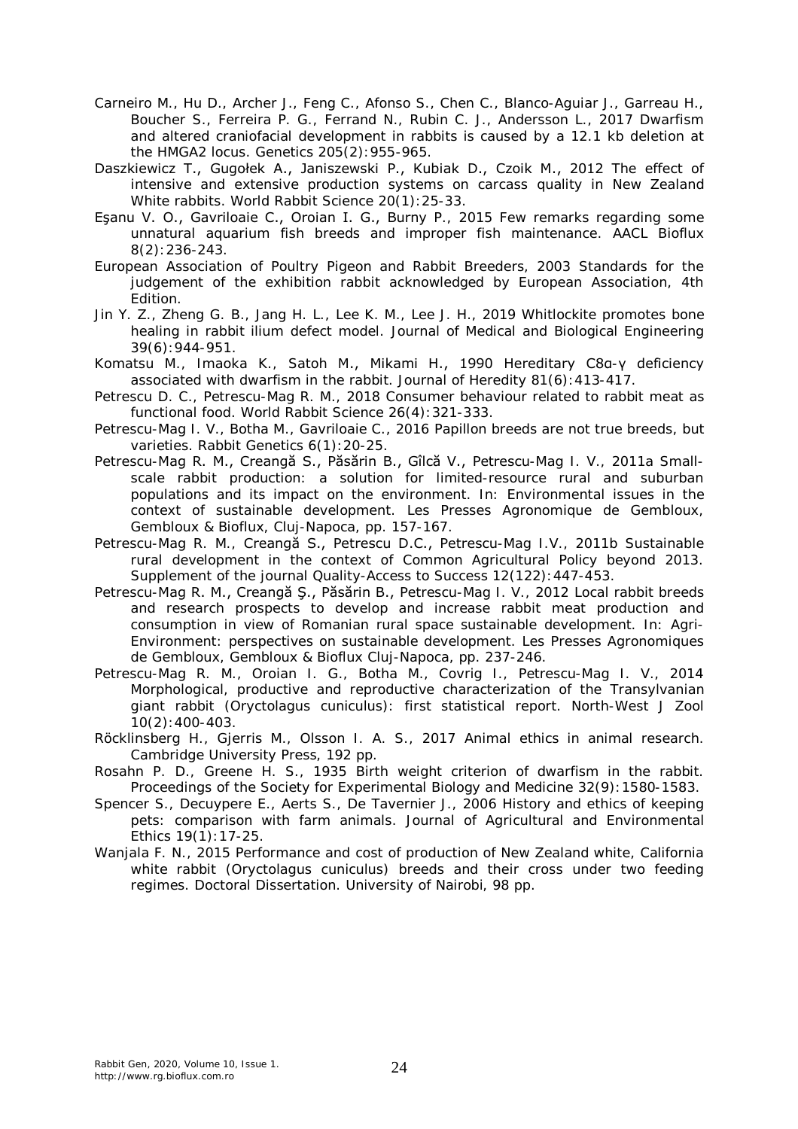- Carneiro M., Hu D., Archer J., Feng C., Afonso S., Chen C., Blanco-Aguiar J., Garreau H., Boucher S., Ferreira P. G., Ferrand N., Rubin C. J., Andersson L., 2017 Dwarfism and altered craniofacial development in rabbits is caused by a 12.1 kb deletion at the HMGA2 locus. Genetics 205(2):955-965.
- Daszkiewicz T., Gugołek A., Janiszewski P., Kubiak D., Czoik M., 2012 The effect of intensive and extensive production systems on carcass quality in New Zealand White rabbits. World Rabbit Science 20(1):25-33.
- Eşanu V. O., Gavriloaie C., Oroian I. G., Burny P., 2015 Few remarks regarding some unnatural aquarium fish breeds and improper fish maintenance. AACL Bioflux 8(2):236-243.
- European Association of Poultry Pigeon and Rabbit Breeders, 2003 Standards for the judgement of the exhibition rabbit acknowledged by European Association, 4th Edition.
- Jin Y. Z., Zheng G. B., Jang H. L., Lee K. M., Lee J. H., 2019 Whitlockite promotes bone healing in rabbit ilium defect model. Journal of Medical and Biological Engineering 39(6):944-951.
- Komatsu M., Imaoka K., Satoh M., Mikami H., 1990 Hereditary C8α-γ deficiency associated with dwarfism in the rabbit. Journal of Heredity 81(6):413-417.
- Petrescu D. C., Petrescu-Mag R. M., 2018 Consumer behaviour related to rabbit meat as functional food. World Rabbit Science 26(4):321-333.
- Petrescu-Mag I. V., Botha M., Gavriloaie C., 2016 Papillon breeds are not true breeds, but varieties. Rabbit Genetics 6(1):20-25.
- Petrescu-Mag R. M., Creangă S., Păsărin B., Gîlcă V., Petrescu-Mag I. V., 2011a Smallscale rabbit production: a solution for limited-resource rural and suburban populations and its impact on the environment. In: Environmental issues in the context of sustainable development. Les Presses Agronomique de Gembloux, Gembloux & Bioflux, Cluj-Napoca, pp. 157-167.
- Petrescu-Mag R. M., Creangă S., Petrescu D.C., Petrescu-Mag I.V., 2011b Sustainable rural development in the context of Common Agricultural Policy beyond 2013. Supplement of the journal Quality-Access to Success 12(122):447-453.
- Petrescu-Mag R. M., Creangă Ş., Păsărin B., Petrescu-Mag I. V., 2012 Local rabbit breeds and research prospects to develop and increase rabbit meat production and consumption in view of Romanian rural space sustainable development. In: Agri-Environment: perspectives on sustainable development. Les Presses Agronomiques de Gembloux, Gembloux & Bioflux Cluj-Napoca, pp. 237-246.
- Petrescu-Mag R. M., Oroian I. G., Botha M., Covrig I., Petrescu-Mag I. V., 2014 Morphological, productive and reproductive characterization of the Transylvanian giant rabbit (*Oryctolagus cuniculus*): first statistical report. North-West J Zool 10(2):400-403.
- Röcklinsberg H., Gjerris M., Olsson I. A. S., 2017 Animal ethics in animal research. Cambridge University Press, 192 pp.
- Rosahn P. D., Greene H. S., 1935 Birth weight criterion of dwarfism in the rabbit. Proceedings of the Society for Experimental Biology and Medicine 32(9):1580-1583.
- Spencer S., Decuypere E., Aerts S., De Tavernier J., 2006 History and ethics of keeping pets: comparison with farm animals. Journal of Agricultural and Environmental Ethics 19(1):17-25.
- Waniala F. N., 2015 Performance and cost of production of New Zealand white, California white rabbit (*Oryctolagus cuniculus*) breeds and their cross under two feeding regimes. Doctoral Dissertation. University of Nairobi, 98 pp.